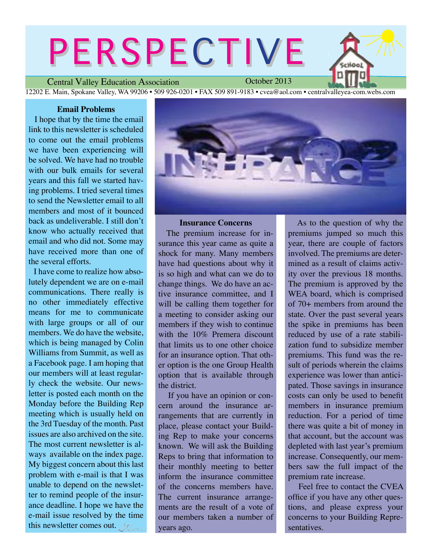# PERSPECTIVE

Central Valley Education Association 12202 E. Main, Spokane Valley, WA 99206 • 509 926-0201 • FAX 509 891-9183 • cvea@aol.com • centralvalleyea-com.webs.com

#### **Email Problems**

I hope that by the time the email link to this newsletter is scheduled to come out the email problems we have been experiencing will be solved. We have had no trouble with our bulk emails for several years and this fall we started having problems. I tried several times to send the Newsletter email to all members and most of it bounced back as undeliverable. I still don't know who actually received that email and who did not. Some may have received more than one of the several efforts.

 I have come to realize how absolutely dependent we are on e-mail communications. There really is no other immediately effective means for me to communicate with large groups or all of our members. We do have the website, which is being managed by Colin Williams from Summit, as well as a Facebook page. I am hoping that our members will at least regularly check the website. Our newsletter is posted each month on the Monday before the Building Rep meeting which is usually held on the 3rd Tuesday of the month. Past issues are also archived on the site. The most current newsletter is always available on the index page. My biggest concern about this last problem with e-mail is that I was unable to depend on the newsletter to remind people of the insurance deadline. I hope we have the e-mail issue resolved by the time this newsletter comes out.  $\sqrt{t}$ 

**Insurance Concerns** The premium increase for in-

surance this year came as quite a shock for many. Many members have had questions about why it is so high and what can we do to change things. We do have an active insurance committee, and I will be calling them together for a meeting to consider asking our members if they wish to continue with the 10% Premera discount that limits us to one other choice for an insurance option. That other option is the one Group Health option that is available through the district.

 If you have an opinion or concern around the insurance arrangements that are currently in place, please contact your Building Rep to make your concerns known. We will ask the Building Reps to bring that information to their monthly meeting to better inform the insurance committee of the concerns members have. The current insurance arrangements are the result of a vote of our members taken a number of years ago.

 As to the question of why the premiums jumped so much this year, there are couple of factors involved. The premiums are determined as a result of claims activity over the previous 18 months. The premium is approved by the WEA board, which is comprised of 70+ members from around the state. Over the past several years the spike in premiums has been reduced by use of a rate stabilization fund to subsidize member premiums. This fund was the result of periods wherein the claims experience was lower than anticipated. Those savings in insurance costs can only be used to benefit members in insurance premium reduction. For a period of time there was quite a bit of money in that account, but the account was depleted with last year's premium increase. Consequently, our members saw the full impact of the premium rate increase.

 Feel free to contact the CVEA office if you have any other questions, and please express your concerns to your Building Representatives.





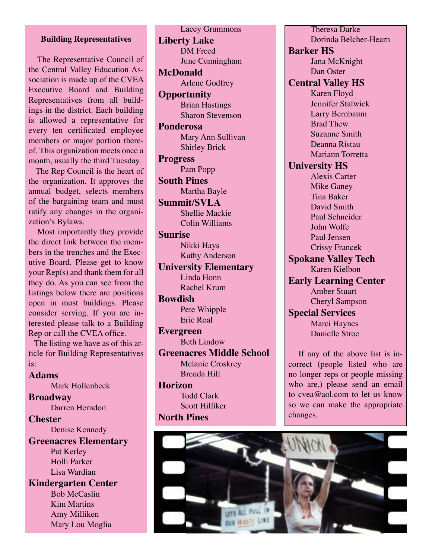## **Building Representatives**

 The Representative Council of the Central Valley Education Association is made up of the CVEA Executive Board and Building Representatives from all buildings in the district. Each building is allowed a representative for every ten certificated employee members or major portion thereof. This organization meets once a month, usually the third Tuesday.

 The Rep Council is the heart of the organization. It approves the annual budget, selects members of the bargaining team and must ratify any changes in the organization's Bylaws.

 Most importantly they provide the direct link between the members in the trenches and the Executive Board. Please get to know your Rep(s) and thank them for all they do. As you can see from the listings below there are positions open in most buildings. Please consider serving. If you are interested please talk to a Building Rep or call the CVEA office.

 The listing we have as of this article for Building Representatives is:

#### **Adams**

Mark Hollenbeck

**Broadway** Darren Herndon **Chester**

Denise Kennedy

# **Greenacres Elementary**

Pat Kerley Holli Parker Lisa Wardian

**Kindergarten Center** Bob McCaslin Kim Martins Amy Milliken Mary Lou Moglia

Lacey Grummons **Liberty Lake** DM Freed June Cunningham **McDonald** Arlene Godfrey **Opportunity** Brian Hastings Sharon Stevenson **Ponderosa** Mary Ann Sullivan Shirley Brick **Progress** Pam Popp **South Pines** Martha Bayle **Summit/SVLA** Shellie Mackie Colin Williams **Sunrise** Nikki Hays Kathy Anderson **University Elementary** Linda Honn Rachel Krum **Bowdish** Pete Whipple Eric Roal **Evergreen** Beth Lindow **Greenacres Middle School** Melanie Croskrey Brenda Hill **Horizon** Todd Clark Scott Hilfiker **North Pines**

Theresa Darke Dorinda Belcher-Hearn **Barker HS** Jana McKnight Dan Oster **Central Valley HS** Karen Floyd Jennifer Stalwick Larry Bernbaum Brad Thew Suzanne Smith Deanna Ristau Mariann Torretta **University HS** Alexis Carter Mike Ganey Tina Baker David Smith Paul Schneider John Wolfe Paul Jensen Crissy Francek **Spokane Valley Tech** Karen Kielbon **Early Learning Center** Amber Stuart Cheryl Sampson **Special Services** Marci Haynes Danielle Stroe If any of the above list is in-

correct (people listed who are no longer reps or people missing who are,) please send an email to cvea@aol.com to let us know so we can make the appropriate changes.

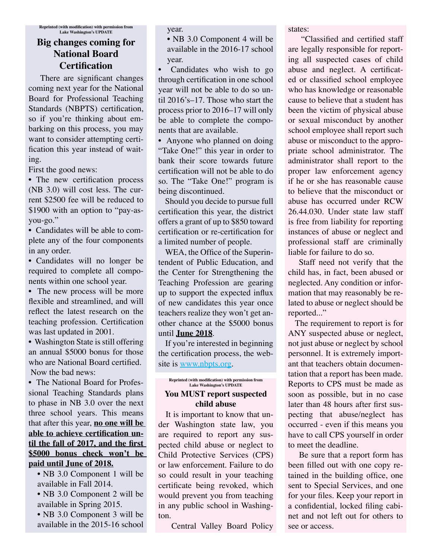# **Big changes coming for National Board Certification**

 There are significant changes coming next year for the National Board for Professional Teaching Standards (NBPTS) certification, so if you're thinking about embarking on this process, you may want to consider attempting certification this year instead of waiting.

First the good news:

• The new certification process (NB 3.0) will cost less. The current \$2500 fee will be reduced to \$1900 with an option to "pay-asyou-go."

• Candidates will be able to complete any of the four components in any order.

• Candidates will no longer be required to complete all components within one school year.

• The new process will be more flexible and streamlined, and will reflect the latest research on the teaching profession. Certification was last updated in 2001.

• Washington State is still offering an annual \$5000 bonus for those who are National Board certified. Now the bad news:

• The National Board for Professional Teaching Standards plans to phase in NB 3.0 over the next three school years. This means that after this year, **no one will be able to achieve certification until the fall of 2017, and the first \$5000 bonus check won't be paid until June of 2018.**

• NB 3.0 Component 1 will be available in Fall 2014.

• NB 3.0 Component 2 will be available in Spring 2015.

• NB 3.0 Component 3 will be available in the 2015-16 school year.

• NB 3.0 Component 4 will be available in the 2016-17 school year.

• Candidates who wish to go through certification in one school year will not be able to do so until 2016's–17. Those who start the process prior to 2016–17 will only be able to complete the components that are available.

• Anyone who planned on doing "Take One!" this year in order to bank their score towards future certification will not be able to do so. The "Take One!" program is being discontinued.

 Should you decide to pursue full certification this year, the district offers a grant of up to \$850 toward certification or re-certification for a limited number of people.

 WEA, the Office of the Superintendent of Public Education, and the Center for Strengthening the Teaching Profession are gearing up to support the expected influx of new candidates this year once teachers realize they won't get another chance at the \$5000 bonus until **June 2018**.

 If you're interested in beginning the certification process, the website is [www.nbpts.org](http://www.nbpts.org).

#### **Reprinted (with modification) with permission from Lake Washington's UPDATE You MUST report suspected child abuse**

It is important to know that under Washington state law, you are required to report any suspected child abuse or neglect to Child Protective Services (CPS) or law enforcement. Failure to do so could result in your teaching certificate being revoked, which would prevent you from teaching in any public school in Washington.

Central Valley Board Policy

states:

 "Classified and certified staff are legally responsible for reporting all suspected cases of child abuse and neglect. A certificated or classified school employee who has knowledge or reasonable cause to believe that a student has been the victim of physical abuse or sexual misconduct by another school employee shall report such abuse or misconduct to the appropriate school administrator. The administrator shall report to the proper law enforcement agency if he or she has reasonable cause to believe that the misconduct or abuse has occurred under RCW 26.44.030. Under state law staff is free from liability for reporting instances of abuse or neglect and professional staff are criminally liable for failure to do so.

 Staff need not verify that the child has, in fact, been abused or neglected. Any condition or information that may reasonably be related to abuse or neglect should be reported..."

 The requirement to report is for ANY suspected abuse or neglect, not just abuse or neglect by school personnel. It is extremely important that teachers obtain documentation that a report has been made. Reports to CPS must be made as soon as possible, but in no case later than 48 hours after first suspecting that abuse/neglect has occurred - even if this means you have to call CPS yourself in order to meet the deadline.

 Be sure that a report form has been filled out with one copy retained in the building office, one sent to Special Services, and one for your files. Keep your report in a confidential, locked filing cabinet and not left out for others to see or access.